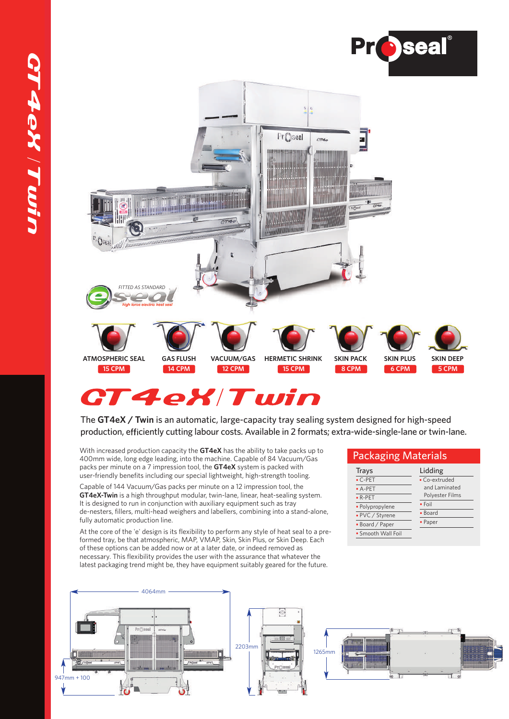



# **CT4eX/Twin**

The **GT4eX / Twin** is an automatic, large-capacity tray sealing system designed for high-speed production, efficiently cutting labour costs. Available in 2 formats; extra-wide-single-lane or twin-lane.

With increased production capacity the **GT4eX** has the ability to take packs up to 400mm wide, long edge leading, into the machine. Capable of 84 Vacuum/Gas packs per minute on a 7 impression tool, the **GT4eX** system is packed with user-friendly benefits including our special lightweight, high-strength tooling.

Capable of 144 Vacuum/Gas packs per minute on a 12 impression tool, the **GT4eX-Twin** is a high throughput modular, twin-lane, linear, heat-sealing system. It is designed to run in conjunction with auxiliary equipment such as tray de-nesters, fillers, multi-head weighers and labellers, combining into a stand-alone, fully automatic production line.

At the core of the 'e' design is its flexibility to perform any style of heat seal to a preformed tray, be that atmospheric, MAP, VMAP, Skin, Skin Plus, or Skin Deep. Each of these options can be added now or at a later date, or indeed removed as necessary. This flexibility provides the user with the assurance that whatever the latest packaging trend might be, they have equipment suitably geared for the future.

| <b>Packaging Materials</b> |                 |  |  |
|----------------------------|-----------------|--|--|
| Trays                      | Lidding         |  |  |
| $\cdot$ C-PET              | · Co-extruded   |  |  |
| $\bullet$ A-PET            | and Laminated   |  |  |
| $\bullet$ R-PET            | Polyester Films |  |  |
| · Polypropylene            | $\bullet$ Foil  |  |  |
| • PVC / Styrene            | • Board         |  |  |
| • Board / Paper            | • Paper         |  |  |
| • Smooth Wall Foil         |                 |  |  |
|                            |                 |  |  |